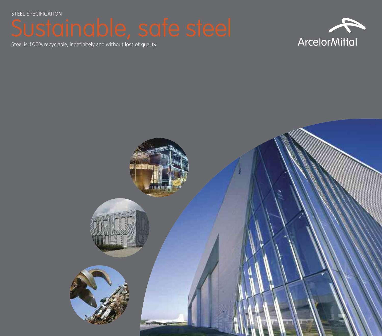STEEL SPECIFICATION





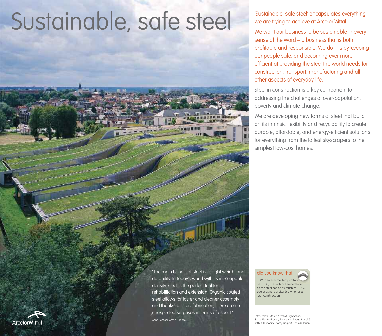# Sustainable, safe steel' encapsulates everything<br>We we are trying to achieve at ArcelorMittal.

we are trying to achieve at ArcelorMittal.

We want our business to be sustainable in every sense of the word – a business that is both profitable and responsible. We do this by keeping our people safe, and becoming ever more efficient at providing the steel the world needs for construction, transport, manufacturing and all other aspects of everyday life.

Steel in construction is a key component to addressing the challenges of over-population, poverty and climate change.

We are developing new forms of steel that build on its intrinsic flexibility and recyclability to create durable, affordable, and energy-efficient solutions for everything from the tallest skyscrapers to the simplest low-cost homes.

"The main benefit of steel is its light weight and durability. In today's world with its inescapable density, steel is the perfect tool for rehabilitation and extension. Organic coated steel allows for faster and cleaner assembly and thanks to its prefabrication, there are no unexpected surprises in terms of aspect." Anne Pezzoni, Archi5, France

did you know that. . With an external temperature of 35°C, the surface temperature of the steel can be as much as 11°C cooler using a typical brown or green roof construction.

Left *Project:* Marcel Sembat High School, Sotteville-lès-Rouen, France *Architects:* © archi5 with B. Huidobro *Photography:* © Thomas Jorion

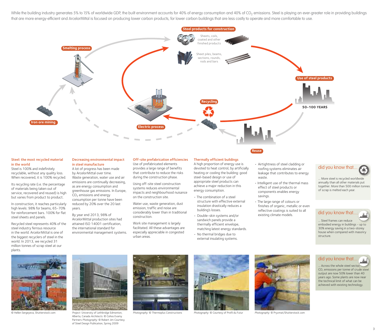While the building industry generates 5% to 15% of worldwide GDP, the built environment accounts for 40% of energy consumption and 40% of CO<sub>2</sub> emissions. Steel is playing an ever-greater role in providing buildings that are more energy-efficient and ArcelorMittal is focused on producing lower carbon products, for lower carbon buildings that are less costly to operate and more comfortable to use.



### Steel: the most recycled material in the world

Steel is 100% and indefinitely recyclable, without any quality loss. When recovered, it is 100% recycled.

Its recycling rate (i.e. the percentage of materials being taken out of service, recovered and reused) is high but varies from product to product.

In construction, it reaches particularly high levels: 98% for beams, 65-70% for reinforcement bars. 100% for flat steel sheets and panels.

Recycled steel represents 40% of the steel industry ferrous resource in the world. ArcelorMittal is one of the biggest recyclers of steel in the world. In 2013, we recycled 31 million tonnes of scrap steel at our plants.

### Decreasing environmental impact in steel manufacture

A lot of progress has been made by ArcelorMittal over time. Waste generation, water use and air emissions are continually decreasing, as are energy consumption and greenhouse gas emissions. In Europe,  $CO<sub>2</sub>$  emissions and energy consumption per tonne have been reduced by 20% over the 20 last years.

By year end 2013, 98% of ArcelorMittal production sites had attained ISO 14001 certification, the international standard for environmental management systems.

### Off-site prefabrication efficiencies

Use of prefabricated elements provides a large range of benefits that contribute to reduce the risks during the construction phase.

Using off-site steel construction systems reduces environmental impacts and neighbourhood nuisance on the construction site.

Water use, waste generation, dust emission, traffic and noise are considerably lower than in traditional construction.

Work site management is largely facilitated. All these advantages are especially appreciable in congested urban areas.

### Thermally efficient buildings

A high proportion of energy use is devoted to heat control, by artificially heating or cooling the building: good steel-based design or use of appropriate steel products can achieve a major reduction in this energy consumption.

- The combination of a steel structure with effective external insulation drastically reduces a building's losses.
- Double-skin systems and/or sandwich panels provide a thermally efficient envelope, matching latest energy standards.
- No thermal bridges due to external insulating systems.
- Airtightness of steel cladding or roofing systems eliminates air leakage that contributes to energy waste.
- Intelligent use of the thermal mass effect of steel products or components enables energy savings.
- The large range of colours or finishes of organic, metallic or even reflective coatings is suited to all existing climate models.

### did you know that...

... More steel is recycled worldwide annually than all other materials put together. More than 500 million tonnes of scrap is melted each year.

### did you know that....

... Steel frames can reduce embodied energy in buildings - up to 30% energy saving in a two-storey house when compared with masonry structure.





© Hellen Sergeyeva, Shutterstock.com *Project:* University of Lethbridge Edmonton, Alberta, Canada *Architects:* © Cohos Evamy Partners *Photography:* © Robert Jim Courtesy

of Steel Design Publication, Spring 2009











. Across the whole steel sector, CO<sub>2</sub> emissions per tonne of crude steel output are now 50% lower than 40 years ago. Some plants are now near the technical limit of what can be achieved with existing technology.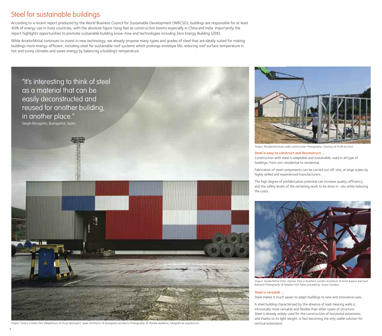### Steel for sustainable buildings

According to a recent report produced by the World Business Council for Sustainable Development (WBCSD), buildings are responsible for at least 40% of energy use in most countries, with the absolute figure rising fast as construction booms especially in China and India. Importantly the report highlights opportunities to promote sustainable building know-how and technologies including Zero Energy Building (ZEB).

While ArcelorMittal continues to invest in new technology, we already propose many types and grades of steel that are ideally suited for making buildings more energy-efficient, including steel for sustainable roof systems which prolongs envelope life, reducing roof surface temperature in hot and sunny climates and saves energy by balancing a building's temperature.



*Project:* Docks in Aviles Port (Neighbours of Oscar Niemeyer), Spain *Architects:* © [baragaño] architects *Photography:* © Mariela Apollonio, Fotógrafa de arquitectura



*Project:* Residential house under construction *Photography:* Courtesy of Profil du Futur

### Steel is easy to construct and deconstruct ...

Construction with steel is adaptable and sustainable, used in all type of buildings, from non-residential to residential.

Fabrication of steel components can be carried out off-site, at large scales by highly skilled and experienced manufacturers.

The high degree of prefabrication potential can increase quality, efficiency and the safety levels of the remaining work to be done in- situ while reducing the costs.



*Project:* ArcelorMittal Orbit, Olympic Park in Stratford, London *Architects:* © Anish Kapoor and Cecil Balmond *Photography:* © Stephen Hird *Tubes provided by:* Grupo Condesa

### Steel is versatile …

Steel makes it much easier to adapt buildings to new and innovative uses.

A steel building characterised by the absence of load-bearing walls is intrinsically more versatile and flexible than other types of structure. Steel is already widely used for the construction of horizontal extensions and thanks to its light weight, is fast becoming the only viable solution for vertical extensions.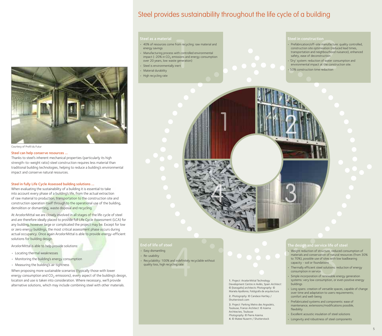### Steel provides sustainability throughout the life cycle of a building



Courtesy of Profil du Futur

#### Steel can help conserve resources …

Thanks to steel's inherent mechanical properties (particularly its high strength-to-weight ratio) steel construction requires less material than traditional building technologies, helping to reduce a building's environmental impact and conserve natural resources.

#### Steel in fully Life Cycle Assessed building solutions ...

When evaluating the sustainability of a building it is essential to take into account every phase of a building's life, from the actual extraction of raw material to production, transportation to the construction site and construction operation itself through to the operational use of the building, demolition or dismantling, waste disposal and recycling.

At ArcelorMittal we are closely involved in all stages of the life cycle of steel and are therefore ideally placed to provide full Life Cycle Assessment (LCA) for any building, however large or complicated the project may be. Except for low or zero energy buildings, the most critical assessment phase occurs during actual occupancy. Once again ArcelorMittal is able to provide energy-efficient solutions for building design.

ArcelorMittal is able to help provide solutions:

- Locating thermal weaknesses
- Monitoring the building's energy consumption
- Measuring the building's air tightness

When proposing more sustainable scenarios (typically those with lower energy consumption and  $CO<sub>2</sub>$  emissions), every aspect of the building's design, location and use is taken into consideration. Where necessary, we'll provide alternative solutions, which may include combining steel with other materials.

#### Steel as a material

- 40% of resources come from recycling: raw material and energy savings
- Manufacturing process with controlled environmental impact (-20% in  $CO<sub>2</sub>$  emissions and energy consumption over 20 years, low waste generation)
- Steel is environmentally inert
- Material durability
- High recycling rate

- 1 2 Steel in construction<br>
1 2 Steel in construction<br>
1 2 Prefabrication/off-site manufacture:<br>
construction site optimisation (reductor<br>
2 Construction and neighbourhood nu<br>
2 Construction and neighbourhood nu<br>
2 Constru • Prefabrication/off-site manufacture: quality controlled, construction site optimisation (reduced lead times, transportation and neighbourhood nuisance), enhanced safety, ease of deconstruction
	- 'Dry' system: reduction of water consumption and environmental impact at the construction site.
	- 50% construction time reduction



#### End of life of steel

• Easy dismantling

• Re-usability

• Recyclability: 100% and indefinitely recyclable without quality loss, high recycling rate

> 1. *Project:* ArcelorMittal Technology Development Centre in Avilés, Spain *Architect:* © [baragaño] architects *Photography:* © Mariela Apollonio, Fotógrafa de arquitectura 2. *Photography:* © Candace Hartley /

Shutterstock.com

3. *Project:* Parking Metro des Argoulets, Toulouse, France *Architect:* © Azema Architectes, Toulouse *Photography*: © Pierre Azema. 4. © Matee Nuserm / Shutterstock

### The design and service life of steel

- and indefinitely recyclable without<br>
and indefinitely recyclable without<br>
yeling rate<br>
yeling rate<br>
and indefinitely recyclable without<br>
yeling rate<br>
yeling the capacity soil or foundations<br>
the design and service inte o • Weight reduction of structure, reduced consumption of materials and conservation of natural resources (from 30% to 70%), possible use of sites with low loadbearing capacity - soil or foundations
	- Thermally efficient steel solutions: reduction of energy consumption in service
	- Simple incorporation of renewable energy generation systems: very low consumption, or even positive energy buildings
	- Long spans: creation of versatile spaces, capable of change over time and adaptation to users requirements; comfort and well-being
	- Prefabricated systems and components: ease of maintenance, extensions/modifications possible, flexibility
	- Excellent acoustic insulation of steel solutions
	- Longevity and robustness of steel components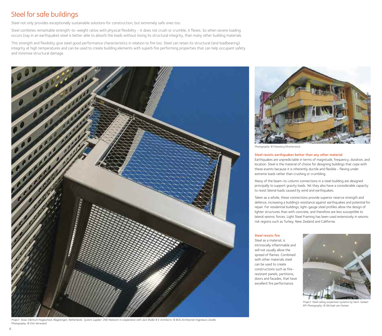### Steel for safe buildings

Steel not only provides exceptionally sustainable solutions for construction, but extremely safe ones too.

Steel combines remarkable strength-to-weight ratios with physical flexibility - it does not crush or crumble, it flexes. So when severe loading occurs (say in an earthquake) steel is better able to absorb the loads without losing its structural integrity, than many other building materials.

This strength and flexibility give steel good performance characteristics in relation to fire too. Steel can retain its structural (and loadbearing) integrity at high temperatures and can be used to create building elements with superb fire performing properties that can help occupant safety and minimise structural damage.



*Project:* Stoas Vilentum Hogeschool, Wageningen, Netherlands *System supplier:* ZND Nedicom in cooperation with Jack Muller B.V *Architects:* © BDG Architecten Ingenieurs Zwolle *Photography:* © Dirk Verwoerd



*Photography:* © Fotostory/Shutterstock

### Steel resists earthquakes better than any other material

Earthquakes are unpredictable in terms of magnitude, frequency, duration, and location. Steel is the material of choice for designing buildings that cope with these events because it is inherently ductile and flexible - flexing under extreme loads rather than crushing or crumbling.

Many of the beam-to-column connections in a steel building are designed principally to support gravity loads. Yet they also have a considerable capacity to resist lateral loads caused by wind and earthquakes.

Taken as a whole, these connections provide superior reserve strength and defence, increasing a building's resistance against earthquakes and potential for repair. For residential buildings, light-gauge steel profiles allow the design of lighter structures than with concrete, and therefore are less susceptible to lateral seismic forces. Light Steel Framing has been used extensively in seismic risk regions such as Turkey, New Zealand and California.

### Steel resists fire

Steel as a material, is intrinsically inflammable and will not usually allow the spread of flames. Combined with other materials steel can be used to create constructions such as fireresistant panels, partitions, doors and facades, that have excellent fire performance.



*Project:* Steel ceiling suspension systems by Saint-Gobain API *Photography:* © Michael van Oosten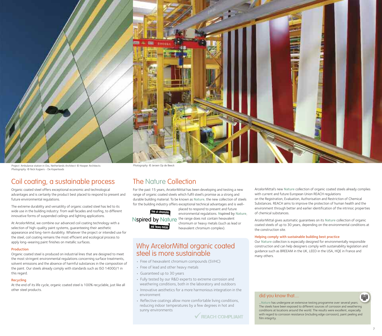

*Project:* Ambulance station in Oss, Netherlands *Architect*: © Hooper Architects *Photography:* © Nick Kuijpers - De Koperloods

*Photography:* © Jeroen Op de Beeck

### Coil coating, a sustainable process

Organic coated steel offers exceptional economic and technological advantages and is certainly the product best placed to respond to present and future environmental regulations.

The extreme durability and versatility of organic coated steel has led to its wide use in the building industry: from wall facades and roofing, to different innovative forms of suspended ceilings and lighting applications.

At ArcelorMittal, we combine our advanced coil coating technology with a selection of high-quality paint systems, guaranteeing their aesthetic appearance and long-term durability. Whatever the project or intended use for the steel, coil coating remains the most efficient and ecological process to apply long-wearing paint finishes on metallic surfaces.

### Production

Organic coated steel is produced on industrial lines that are designed to meet the most stringent environmental regulations concerning surface treatments, solvent emissions and the absence of harmful substances in the composition of the paint. Our steels already comply with standards such as ISO 14000/1 in this regard.

### Recycling

At the end of its life cycle, organic coated steel is 100% recyclable, just like all other steel products.

### The Nature Collection

For the past 15 years, ArcelorMittal has been developing and testing a new range of organic coated steels which fulfil steel's promise as a strong and durable building material. To be known as Nature, the new collection of steels for the building industry offers exceptional technical advantages and is well-



placed to respond to present and future environmental regulations. Nspired by Nature, Nspired by Nature the range does not contain hexavalent chromium or heavy metals (such as lead or hexavalent chromium complex).

### Why ArcelorMittal organic coated steel is more sustainable

- Free of hexavalent chromium compounds (SVHC)
- Free of lead and other heavy metals
- Guaranteed up to 30 years
- Fully tested by our R&D experts to extreme corrosion and weathering conditions, both in the laboratory and outdoors
- Innovative aesthetics for a more harmonious integration in the environment
- Reflective coatings allow more comfortable living conditions, reducing indoor temperatures by a few degrees in hot and sunny environments



ArcelorMittal's new Nature collection of organic coated steels already complies with current and future European Union REACH regulations on the Registration, Evaluation, Authorisation and Restriction of Chemical Substances. REACH aims to improve the protection of human health and the environment through better and earlier identification of the intrinsic properties of chemical substances.

ArcelorMittal gives automatic guarantees on its Nature collection of organic coated steels of up to 30 years, depending on the environmental conditions at the construction site.

### Helping comply with sustainable building best practice

Our Nature collection is especially designed for environmentally responsible construction and can help designers comply with sustainability legislation and guidance such as BREEAM in the UK, LEED in the USA, HQE in France and many others.

### did you know that....

...Nature has undergone an extensive testing programme over several years. The steels have been exposed to different sources of corrosion and weathering conditions at locations around the world. The results were excellent, especially with regard to corrosion resistance (including edge corrosion), paint peeling and film integrity.